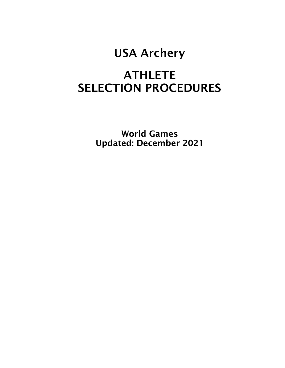# USA Archery

# **ATHLETE** SELECTION PROCEDURES

World Games Updated: December 2021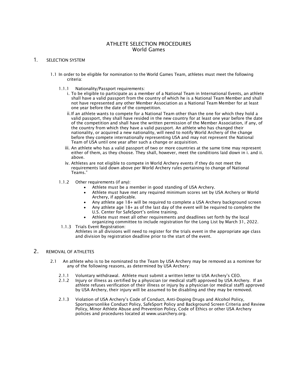# ATHLETE SELECTION PROCEDURES World Games

## 1. SELECTION SYSTEM

- 1.1 In order to be eligible for nomination to the World Games Team, athletes must meet the following criteria:
	- 1.1.1 Nationality/Passport requirements:
		- i. To be eligible to participate as a member of a National Team in International Events, an athlete shall have a valid passport from the country of which he is a National Team Member and shall not have represented any other Member Association as a National Team Member for at least one year before the date of the competition.
		- ii.If an athlete wants to compete for a National Team other than the one for which they hold a valid passport, they shall have resided in the new country for at least one year before the date of the competition and shall have the written permission of the Member Association, if any, of the country from which they have a valid passport. An athlete who has changed their nationality, or acquired a new nationality, will need to notify World Archery of the change before they compete internationally representing USA and may not represent the National Team of USA until one year after such a change or acquisition.
		- iii. An athlete who has a valid passport of two or more countries at the same time may represent either of them, as they choose. They shall, however, meet the conditions laid down in i. and ii. above.
		- iv. Athletes are not eligible to compete in World Archery events if they do not meet the requirements laid down above per World Archery rules pertaining to change of National Teams."
	- 1.1.2 Other requirements (if any):
		- Athlete must be a member in good standing of USA Archery.
		- Athlete must have met any required minimum scores set by USA Archery or World Archery, if applicable.
		- Any athlete age 18+ will be required to complete a USA Archery background screen
		- Any athlete age 18+ as of the last day of the event will be required to complete the U.S. Center for SafeSport's online training.
		- Athlete must meet all other requirements and deadlines set forth by the local organizing committee to include registration for the Long List by March 31, 2022.
	- 1.1.3 Trials Event Registration:
		- Athletes in all divisions will need to register for the trials event in the appropriate age class and division by registration deadline prior to the start of the event.

# 2. REMOVAL OF ATHLETES

- 2.1 An athlete who is to be nominated to the Team by USA Archery may be removed as a nominee for any of the following reasons, as determined by USA Archery:
	- 2.1.1 Voluntary withdrawal. Athlete must submit a written letter to USA Archery's CEO.
	- 2.1.2 Injury or illness as certified by a physician (or medical staff) approved by USA Archery. If an athlete refuses verification of their illness or injury by a physician (or medical staff) approved by USA Archery, their injury will be assumed to be disabling and they may be removed.
	- 2.1.3 Violation of USA Archery's Code of Conduct, Anti-Doping Drugs and Alcohol Policy, Sportspersonlike Conduct Policy, SafeSport Policy and Background Screen Criteria and Review Policy, Minor Athlete Abuse and Prevention Policy, Code of Ethics or other USA Archery policies and procedures located at www.usarchery.org.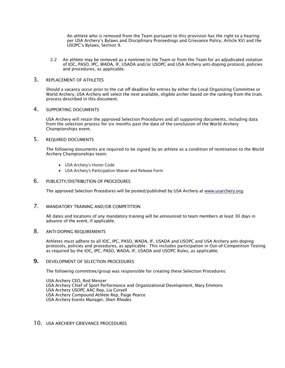An athlete who is removed from the Team pursuant to this provision has the right to a hearing per USA Archery's Bylaws and Disciplinary Proceedings and Grievance Policy, Article XV) and the USOPC's Bylaws, Section 9.

2.2 An athlete may be removed as a nominee to the Team or from the Team for an adjudicated violation of IOC, PASO, IPC, WADA, IF, USADA and/or USOPC and USA Archery anti-doping protocol, policies and procedures, as applicable.

#### 3. REPLACEMENT OF ATHLETES

Should a vacancy occur prior to the cut off deadline for entries by either the Local Organizing Committee or World Archery, USA Archery will select the next available, eligible archer based on the ranking from the trials process described in this document.

#### 4 SUPPORTING DOCUMENTS

USA Archery will retain the approved Selection Procedures and all supporting documents, including data from the selection process for six months past the date of the conclusion of the World Archery Championships event.

#### 5. REQUIRED DOCUMENTS

The following documents are required to be signed by an athlete as a condition of nomination to the World Archery Championships team:

- USA Archery's Honor Code
- USA Archery's Participation Waiver and Release Form

#### 6. PUBLICITY/DISTRIBUTION OF PROCEDURES

The approved Selection Procedures will be posted/published by USA Archery at [www.usarchery.org.](http://www.usarchery.org/)

# 7. MANDATORY TRAINING AND/OR COMPETITION

All dates and locations of any mandatory training will be announced to team members at least 30 days in advance of the event, if applicable.

#### 8. ANTI-DOPING REQUIREMENTS

Athletes must adhere to all IOC, IPC, PASO, WADA, IF, USADA and USOPC and USA Archery anti-doping protocols, policies and procedures, as applicable. This includes participation in Out-of-Competition Testing as required by the IOC, IPC, PASO, WADA, IF, USADA and USOPC Rules, as applicable.

#### **9. DEVELOPMENT OF SELECTION PROCEDURES**

The following committee/group was responsible for creating these Selection Procedures:

USA Archery CEO, Rod Menzer USA Archery Chief of Sport Performance and Organizational Development, Mary Emmons USA Archery USOPC AAC Rep, Lia Coryell USA Archery Compound Athlete Rep, Paige Pearce USA Archery Events Manager, Sheri Rhodes

#### 10. USA ARCHERY GRIEVANCE PROCEDURES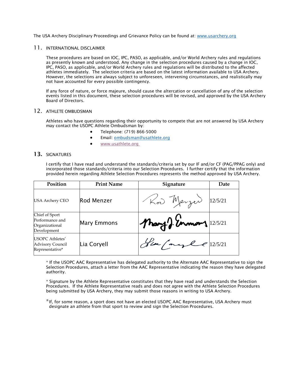The USA Archery Disciplinary Proceedings and Grievance Policy can be found at: [www.usarchery.org](http://www.usarchery.org/)

#### 11. INTERNATIONAL DISCLAIMER

These procedures are based on IOC, IPC, PASO, as applicable, and/or World Archery rules and regulations as presently known and understood. Any change in the selection procedures caused by a change in IOC, IPC, PASO, as applicable, and/or World Archery rules and regulations will be distributed to the affected athletes immediately. The selection criteria are based on the latest information available to USA Archery. However, the selections are always subject to unforeseen, intervening circumstances, and realistically may not have accounted for every possible contingency.

If any force of nature, or force majeure, should cause the altercation or cancellation of any of the selection events listed in this document, these selection procedures will be revised, and approved by the USA Archery Board of Directors.

#### 12. ATHLETE OMBUDSMAN

Athletes who have questions regarding their opportunity to compete that are not answered by USA Archery may contact the USOPC Athlete Ombudsman by:

- Telephone: (719) 866-5000
- Email: [ombudsman@usathlete.org](mailto:ombudsman@usathlete.org)
- [www.usathlete.org](http://www.usathlete.org/)

#### 13. SIGNATURES

I certify that I have read and understand the standards/criteria set by our IF and/or CF (PAG/PPAG only) and incorporated those standards/criteria into our Selection Procedures. I further certify that the information provided herein regarding Athlete Selection Procedures represents the method approved by USA Archery.

| Position                                                           | <b>Print Name</b>  | Signature             | Date    |
|--------------------------------------------------------------------|--------------------|-----------------------|---------|
| <b>USA Archery CEO</b>                                             | Rod Menzer         | Row Merger            | 12/5/21 |
| Chief of Sport<br>Performance and<br>Organizational<br>Development | <b>Mary Emmons</b> | Mary 2. Ennoy 12/5/21 |         |
| USOPC Athletes'<br><b>Advisory Council</b><br>Representative*      | Lia Coryell        | Heapage 12/5/21       |         |

\* If the USOPC AAC Representative has delegated authority to the Alternate AAC Representative to sign the Selection Procedures, attach a letter from the AAC Representative indicating the reason they have delegated authority.

\* Signature by the Athlete Representative constitutes that they have read and understands the Selection Procedures. If the Athlete Representative reads and does not agree with the Athlete Selection Procedures being submitted by USA Archery, they may submit those reasons in writing to USA Archery.

\*If, for some reason, a sport does not have an elected USOPC AAC Representative, USA Archery must designate an athlete from that sport to review and sign the Selection Procedures.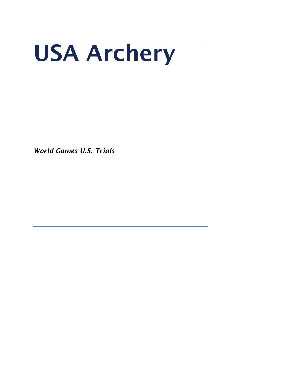# USA Archery

*World Games U.S. Trials*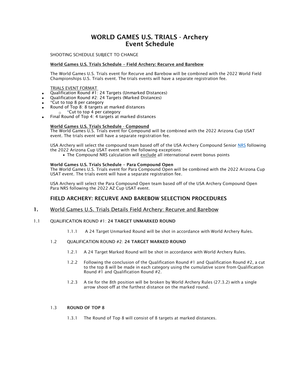# WORLD GAMES U.S. TRIALS - Archery Event Schedule

SHOOTING SCHEDULE SUBJECT TO CHANGE

#### World Games U.S. Trials Schedule – Field Archery: Recurve and Barebow

The World Games U.S. Trials event for Recurve and Barebow will be combined with the 2022 World Field Championships U.S. Trials event. The trials events will have a separate registration fee.

#### TRIALS EVENT FORMAT

- Qualification Round #1: 24 Targets (Unmarked Distances)
- Qualification Round #2: 24 Targets (Marked Distances)
- \*Cut to top 8 per category
- Round of Top 8: 8 targets at marked distances \*Cut to top 4 per category
- Final Round of Top 4: 4 targets at marked distances

#### World Games U.S. Trials Schedule - Compound

The World Games U.S. Trials event for Compound will be combined with the 2022 Arizona Cup USAT event. The trials event will have a separate registration fee.

USA Archery will select the compound team based off of the USA Archery Compound Senior [NRS](https://www.usarchery.org/resources/national-ranking-system-101-081219151015.pdf) following the 2022 Arizona Cup USAT event with the following exceptions:

• The Compound NRS calculation will exclude all international event bonus points

#### World Games U.S. Trials Schedule – Para Compound Open

The World Games U.S. Trials event for Para Compound Open will be combined with the 2022 Arizona Cup USAT event. The trials event will have a separate registration fee.

USA Archery will select the Para Compound Open team based off of the USA Archery Compound Open Para NRS following the 2022 AZ Cup USAT event.

## FIELD ARCHERY: RECURVE AND BAREBOW SELECTION PROCEDURES

1. World Games U.S. Trials Details Field Archery: Recurve and Barebow

#### 1.1 QUALIFICATION ROUND #1: 24 TARGET UNMARKED ROUND

- 1.1.1 A 24 Target Unmarked Round will be shot in accordance with World Archery Rules.
- 1.2 OUALIFICATION ROUND #2: 24 TARGET MARKED ROUND
	- 1.2.1 A 24 Target Marked Round will be shot in accordance with World Archery Rules.
	- 1.2.2 Following the conclusion of the Qualification Round #1 and Qualification Round #2, a cut to the top 8 will be made in each category using the cumulative score from Qualification Round #1 and Qualification Round #2.
	- 1.2.3 A tie for the 8th position will be broken by World Archery Rules (27.3.2) with a single arrow shoot-off at the furthest distance on the marked round.

#### 1.3 ROUND OF TOP 8

1.3.1 The Round of Top 8 will consist of 8 targets at marked distances.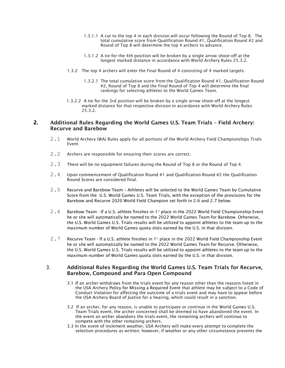- 1.3.1.1 A cut to the top 4 in each division will occur following the Round of Top 8. The total cumulative score from Qualification Round #1, Qualification Round #2 and Round of Top 8 will determine the top 4 archers to advance.
- 1.3.1.2 A tie for the 4th position will be broken by a single arrow shoot-off at the longest marked distance in accordance with World Archery Rules 25.3.2.
- 1.3.2 The top 4 archers will enter the Final Round of 4 consisting of 4 marked targets.
	- 1.3.2.1 The total cumulative score from the Qualification Round #1, Qualification Round #2, Round of Top 8 and the Final Round of Top 4 will determine the final rankings for selecting athletes to the World Games Team.
- 1.3.2.2 A tie for the 3rd position will be broken by a single arrow shoot-off at the longest marked distance for that respective division in accordance with World Archery Rules 25.3.2.

# **2.** Additional Rules Regarding the World Games U.S. Team Trials – Field Archery: Recurve and Barebow

- 2.1 World Archery (WA) Rules apply for all portions of the World Archery Field Championships Trials Event.
- 2.2 Archers are responsible for ensuring their scores are correct.
- 2.3 There will be no equipment failures during the Round of Top 8 or the Round of Top 4.
- 2.4 Upon commencement of Qualification Round #1 and Qualification Round #2 the Qualification Round Scores are considered final.
- 2.5 Recurve and Barebow Team Athletes will be selected to the World Games Team by Cumulative Score from the U.S. World Games U.S. Team Trials, with the exception of the provisions for the Barebow and Recurve 2020 World Field Champion set forth in 2.6 and 2.7 below.
- 2.6 Barebow Team If a U.S. athlete finishes in 1<sup>st</sup> place in the 2022 World Field Championship Event he or she will automatically be named to the 2022 World Games Team for Barebow. Otherwise, the U.S. World Games U.S. Trials results will be utilized to appoint athletes to the team up to the maximum number of World Games quota slots earned by the U.S. in that division.
- 2.7 Recurve Team If a U.S. athlete finishes in 1<sup>st</sup> place in the 2022 World Field Championship Event he or she will automatically be named to the 2022 World Games Team for Recurve. Otherwise, the U.S. World Games U.S. Trials results will be utilized to appoint athletes to the team up to the maximum number of World Games quota slots earned by the U.S. in that division.

#### 3. Additional Rules Regarding the World Games U.S. Team Trials for Recurve, Barebow, Compound and Para Open Compound

- 3.1 If an archer withdraws from the trials event for any reason other than the reasons listed in the USA Archery Policy for Missing a Required Event that athlete may be subject to a Code of Conduct Violation for affecting the outcome of a trials event and may have to appear before the USA Archery Board of Justice for a hearing, which could result in a sanction.
- 3.2 If an archer, for any reason, is unable to participate or continue in the World Games U.S. Team Trials event, the archer concerned shall be deemed to have abandoned the event. In the event an archer abandons the trials event, the remaining archers will continue to compete with the other remaining archers.
- 3.3 In the event of inclement weather, USA Archery will make every attempt to complete the selection procedures as written; however, if weather or any other circumstance prevents the